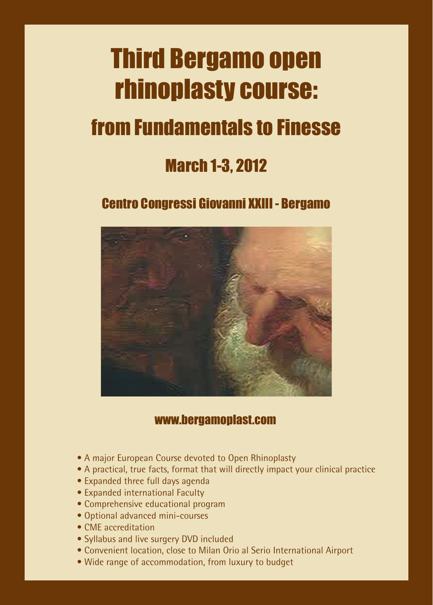# Third Bergamo open rhinoplasty course:

## from Fundamentals to Finesse

## March 1-3, 2012

## Centro Congressi Giovanni XXIII - Bergamo



### www.bergamoplast.com

- A major European Course devoted to Open Rhinoplasty
- A practical, true facts, format that will directly impact your clinical practice
- Expanded three full days agenda
- Expanded international Faculty
- Comprehensive educational program
- Optional advanced mini-courses
- CME accreditation
- Syllabus and live surgery DVD included
- Convenient location, close to Milan Orio al Serio International Airport
- Wide range of accommodation, from luxury to budget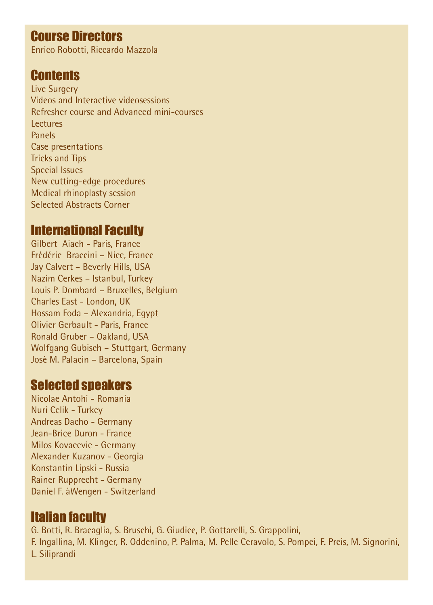## Course Directors

Enrico Robotti, Riccardo Mazzola

### **Contents**

Live Surgery Videos and Interactive videosessions Refresher course and Advanced mini-courses Lectures Panels Case presentations Tricks and Tips Special Issues New cutting-edge procedures Medical rhinoplasty session Selected Abstracts Corner

### International Faculty

Gilbert Aiach - Paris, France Frédéric Braccini – Nice, France Jay Calvert – Beverly Hills, USA Nazim Cerkes – Istanbul, Turkey Louis P. Dombard – Bruxelles, Belgium Charles East - London, UK Hossam Foda – Alexandria, Egypt Olivier Gerbault - Paris, France Ronald Gruber – Oakland, USA Wolfgang Gubisch – Stuttgart, Germany Josè M. Palacin – Barcelona, Spain

## Selected speakers

Nicolae Antohi - Romania Nuri Celik - Turkey Andreas Dacho - Germany Jean-Brice Duron - France Milos Kovacevic - Germany Alexander Kuzanov - Georgia Konstantin Lipski - Russia Rainer Rupprecht - Germany Daniel F. àWengen - Switzerland

## Italian faculty

G. Botti, R. Bracaglia, S. Bruschi, G. Giudice, P. Gottarelli, S. Grappolini, F. Ingallina, M. Klinger, R. Oddenino, P. Palma, M. Pelle Ceravolo, S. Pompei, F. Preis, M. Signorini, L. Siliprandi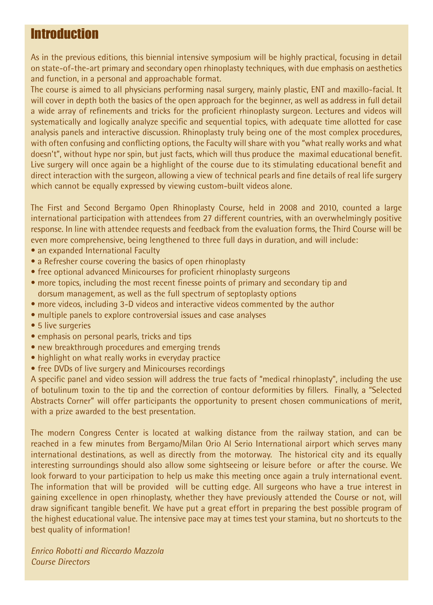## **Introduction**

As in the previous editions, this biennial intensive symposium will be highly practical, focusing in detail on state-of-the-art primary and secondary open rhinoplasty techniques, with due emphasis on aesthetics and function, in a personal and approachable format.

The course is aimed to all physicians performing nasal surgery, mainly plastic, ENT and maxillo-facial. It will cover in depth both the basics of the open approach for the beginner, as well as address in full detail a wide array of refinements and tricks for the proficient rhinoplasty surgeon. Lectures and videos will systematically and logically analyze specific and sequential topics, with adequate time allotted for case analysis panels and interactive discussion. Rhinoplasty truly being one of the most complex procedures, with often confusing and conflicting options, the Faculty will share with you "what really works and what doesn't", without hype nor spin, but just facts, which will thus produce the maximal educational benefit. Live surgery will once again be a highlight of the course due to its stimulating educational benefit and direct interaction with the surgeon, allowing a view of technical pearls and fine details of real life surgery which cannot be equally expressed by viewing custom-built videos alone.

The First and Second Bergamo Open Rhinoplasty Course, held in 2008 and 2010, counted a large international participation with attendees from 27 different countries, with an overwhelmingly positive response. In line with attendee requests and feedback from the evaluation forms, the Third Course will be even more comprehensive, being lengthened to three full days in duration, and will include:

- an expanded International Faculty
- a Refresher course covering the basics of open rhinoplasty
- free optional advanced Minicourses for proficient rhinoplasty surgeons
- more topics, including the most recent finesse points of primary and secondary tip and dorsum management, as well as the full spectrum of septoplasty options
- more videos, including 3-D videos and interactive videos commented by the author
- multiple panels to explore controversial issues and case analyses
- 5 live surgeries
- emphasis on personal pearls, tricks and tips
- new breakthrough procedures and emerging trends
- highlight on what really works in everyday practice
- free DVDs of live surgery and Minicourses recordings

A specific panel and video session will address the true facts of "medical rhinoplasty", including the use of botulinum toxin to the tip and the correction of contour deformities by fillers. Finally, a "Selected Abstracts Corner" will offer participants the opportunity to present chosen communications of merit, with a prize awarded to the best presentation.

The modern Congress Center is located at walking distance from the railway station, and can be reached in a few minutes from Bergamo/Milan Orio Al Serio International airport which serves many international destinations, as well as directly from the motorway. The historical city and its equally interesting surroundings should also allow some sightseeing or leisure before or after the course. We look forward to your participation to help us make this meeting once again a truly international event. The information that will be provided will be cutting edge. All surgeons who have a true interest in gaining excellence in open rhinoplasty, whether they have previously attended the Course or not, will draw significant tangible benefit. We have put a great effort in preparing the best possible program of the highest educational value. The intensive pace may at times test your stamina, but no shortcuts to the best quality of information!

*Enrico Robotti and Riccardo Mazzola Course Directors*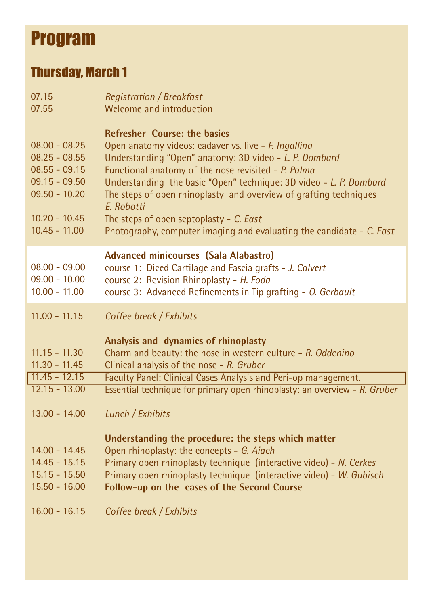## Program

## Thursday, March 1

| 07.15                                                                                                                             | <b>Registration / Breakfast</b>                                                                                                                                                                                                                                                                                                                                                                                                                                                          |
|-----------------------------------------------------------------------------------------------------------------------------------|------------------------------------------------------------------------------------------------------------------------------------------------------------------------------------------------------------------------------------------------------------------------------------------------------------------------------------------------------------------------------------------------------------------------------------------------------------------------------------------|
| 07.55                                                                                                                             | Welcome and introduction                                                                                                                                                                                                                                                                                                                                                                                                                                                                 |
| $08.00 - 08.25$<br>$08.25 - 08.55$<br>$08.55 - 09.15$<br>$09.15 - 09.50$<br>$09.50 - 10.20$<br>$10.20 - 10.45$<br>$10.45 - 11.00$ | <b>Refresher Course: the basics</b><br>Open anatomy videos: cadaver vs. live - F. Ingallina<br>Understanding "Open" anatomy: 3D video - L. P. Dombard<br>Functional anatomy of the nose revisited - P. Palma<br>Understanding the basic "Open" technique: 3D video - L. P. Dombard<br>The steps of open rhinoplasty and overview of grafting techniques<br>E. Robotti<br>The steps of open septoplasty - C. East<br>Photography, computer imaging and evaluating the candidate - C. East |
| $08.00 - 09.00$<br>$09.00 - 10.00$<br>$10.00 - 11.00$                                                                             | <b>Advanced minicourses (Sala Alabastro)</b><br>course 1: Diced Cartilage and Fascia grafts - J. Calvert<br>course 2: Revision Rhinoplasty - H. Foda<br>course 3: Advanced Refinements in Tip grafting - O. Gerbault                                                                                                                                                                                                                                                                     |
| $11.00 - 11.15$<br>$11.15 - 11.30$<br>$11.30 - 11.45$                                                                             | Coffee break / Exhibits<br>Analysis and dynamics of rhinoplasty<br>Charm and beauty: the nose in western culture - R. Oddenino<br>Clinical analysis of the nose - R. Gruber                                                                                                                                                                                                                                                                                                              |
| $11.45 - 12.15$                                                                                                                   | Faculty Panel: Clinical Cases Analysis and Peri-op management.                                                                                                                                                                                                                                                                                                                                                                                                                           |
| $12.15 - 13.00$<br>$13.00 - 14.00$                                                                                                | Essential technique for primary open rhinoplasty: an overview - R. Gruber<br>Lunch / Exhibits<br>Understanding the procedure: the steps which matter                                                                                                                                                                                                                                                                                                                                     |
| $14.00 - 14.45$<br>$14.45 - 15.15$<br>$15.15 - 15.50$<br>$15.50 - 16.00$<br>$16.00 - 16.15$                                       | Open rhinoplasty: the concepts - G. Aiach<br>Primary open rhinoplasty technique (interactive video) - N. Cerkes<br>Primary open rhinoplasty technique (interactive video) - W. Gubisch<br>Follow-up on the cases of the Second Course<br>Coffee break / Exhibits                                                                                                                                                                                                                         |
|                                                                                                                                   |                                                                                                                                                                                                                                                                                                                                                                                                                                                                                          |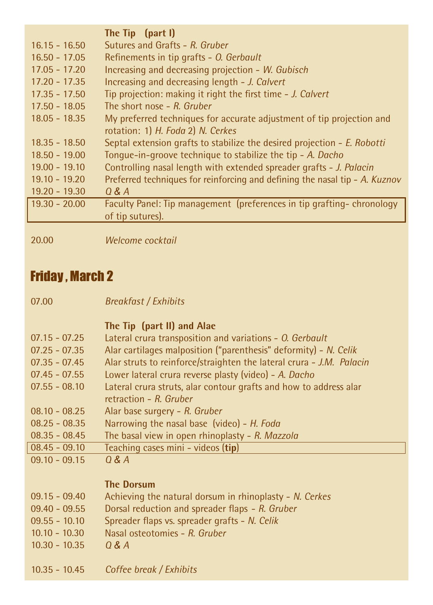|                 | The Tip (part I)                                                            |
|-----------------|-----------------------------------------------------------------------------|
| $16.15 - 16.50$ | Sutures and Grafts - R. Gruber                                              |
| $16.50 - 17.05$ | Refinements in tip grafts - O. Gerbault                                     |
| $17.05 - 17.20$ | Increasing and decreasing projection - W. Gubisch                           |
| $17.20 - 17.35$ | Increasing and decreasing length - J. Calvert                               |
| $17.35 - 17.50$ | Tip projection: making it right the first time - J. Calvert                 |
| $17.50 - 18.05$ | The short nose $-$ R. Gruber                                                |
| $18.05 - 18.35$ | My preferred techniques for accurate adjustment of tip projection and       |
|                 | rotation: 1) H. Foda 2) N. Cerkes                                           |
| $18.35 - 18.50$ | Septal extension grafts to stabilize the desired projection - E. Robotti    |
| $18.50 - 19.00$ | Tonque-in-groove technique to stabilize the tip - A. Dacho                  |
| $19.00 - 19.10$ | Controlling nasal length with extended spreader grafts - J. Palacin         |
| $19.10 - 19.20$ | Preferred techniques for reinforcing and defining the nasal tip - A. Kuznov |
| $19.20 - 19.30$ | 0 & A                                                                       |
| $19.30 - 20.00$ | Faculty Panel: Tip management (preferences in tip grafting-chronology       |
|                 | of tip sutures).                                                            |
|                 |                                                                             |
| 20.00           | Welcome cocktail                                                            |

## Friday , March 2

| <b>Breakfast / Exhibits</b> |  |
|-----------------------------|--|
|                             |  |

|                  | The Tip (part II) and Alae                                           |
|------------------|----------------------------------------------------------------------|
| $07.15 - 07.25$  | Lateral crura transposition and variations - O. Gerbault             |
| $07.25 - 07.35$  | Alar cartilages malposition ("parenthesis" deformity) - N. Celik     |
| $07.35 - 07.45$  | Alar struts to reinforce/straighten the lateral crura - J.M. Palacin |
| $07.45 - 07.55$  | Lower lateral crura reverse plasty (video) - A. Dacho                |
| $07.55 - 08.10$  | Lateral crura struts, alar contour grafts and how to address alar    |
|                  | retraction $-R$ . Gruber                                             |
| $08.10 - 08.25$  | Alar base surgery - R. Gruber                                        |
| $08.25 - 08.35$  | Narrowing the nasal base (video) - H. Foda                           |
| $08.35 - 08.45$  | The basal view in open rhinoplasty - R. Mazzola                      |
| $ 08.45 - 09.10$ | Teaching cases mini - videos (tip)                                   |
| $09.10 - 09.15$  | O & A                                                                |
|                  |                                                                      |
|                  |                                                                      |

#### **The Dorsum**

| 09.15 - 09.40 | Achieving the natural dorsum in rhinoplasty - N. Cerkes |
|---------------|---------------------------------------------------------|
|---------------|---------------------------------------------------------|

- 09.40 09.55 Dorsal reduction and spreader flaps - *R. Gruber*
- 09.55 10.10 Spreader flaps vs. spreader grafts - *N. Celik*
- 10.10 10.30 Nasal osteotomies - *R. Gruber*
- 10.30 10.35 *Q & A*
- 10.35 10.45 *Coffee break / Exhibits*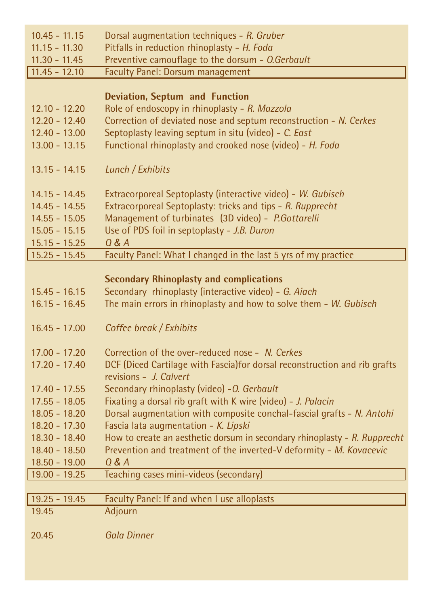| $10.45 - 11.15$ | Dorsal augmentation techniques - R. Gruber                                                           |
|-----------------|------------------------------------------------------------------------------------------------------|
| $11.15 - 11.30$ | Pitfalls in reduction rhinoplasty - H. Foda                                                          |
| $11.30 - 11.45$ | Preventive camouflage to the dorsum - O.Gerbault                                                     |
| $11.45 - 12.10$ | <b>Faculty Panel: Dorsum management</b>                                                              |
|                 |                                                                                                      |
|                 | <b>Deviation, Septum and Function</b>                                                                |
| $12.10 - 12.20$ | Role of endoscopy in rhinoplasty - R. Mazzola                                                        |
| $12.20 - 12.40$ | Correction of deviated nose and septum reconstruction - N. Cerkes                                    |
| $12.40 - 13.00$ | Septoplasty leaving septum in situ (video) - C. East                                                 |
| $13.00 - 13.15$ | Functional rhinoplasty and crooked nose (video) - H. Foda                                            |
| $13.15 - 14.15$ | Lunch / Exhibits                                                                                     |
| $14.15 - 14.45$ | Extracorporeal Septoplasty (interactive video) - W. Gubisch                                          |
| 14.45 - 14.55   | Extracorporeal Septoplasty: tricks and tips - R. Rupprecht                                           |
| $14.55 - 15.05$ | Management of turbinates (3D video) - P.Gottarelli                                                   |
| $15.05 - 15.15$ | Use of PDS foil in septoplasty - J.B. Duron                                                          |
| $15.15 - 15.25$ | $Q$ & $A$                                                                                            |
| $15.25 - 15.45$ | Faculty Panel: What I changed in the last 5 yrs of my practice                                       |
|                 |                                                                                                      |
|                 | <b>Secondary Rhinoplasty and complications</b>                                                       |
| $15.45 - 16.15$ | Secondary rhinoplasty (interactive video) - G. Aiach                                                 |
| $16.15 - 16.45$ | The main errors in rhinoplasty and how to solve them - W. Gubisch                                    |
| $16.45 - 17.00$ | Coffee break / Exhibits                                                                              |
|                 |                                                                                                      |
| $17.00 - 17.20$ | Correction of the over-reduced nose - N. Cerkes                                                      |
| $17.20 - 17.40$ | DCF (Diced Cartilage with Fascia) for dorsal reconstruction and rib grafts<br>revisions - J. Calvert |
| $17.40 - 17.55$ | Secondary rhinoplasty (video) - O. Gerbault                                                          |
| $17.55 - 18.05$ | Fixating a dorsal rib graft with K wire (video) - J. Palacin                                         |
| $18.05 - 18.20$ | Dorsal augmentation with composite conchal-fascial grafts - N. Antohi                                |
| $18.20 - 17.30$ | Fascia lata augmentation - K. Lipski                                                                 |
| $18.30 - 18.40$ | How to create an aesthetic dorsum in secondary rhinoplasty - R. Rupprecht                            |
| $18.40 - 18.50$ | Prevention and treatment of the inverted-V deformity - M. Kovacevic                                  |
| $18.50 - 19.00$ | $Q$ & $A$                                                                                            |
| $19.00 - 19.25$ | Teaching cases mini-videos (secondary)                                                               |
|                 |                                                                                                      |
| $19.25 - 19.45$ | Faculty Panel: If and when I use alloplasts                                                          |
| 19.45           | Adjourn                                                                                              |
| 20.45           | <b>Gala Dinner</b>                                                                                   |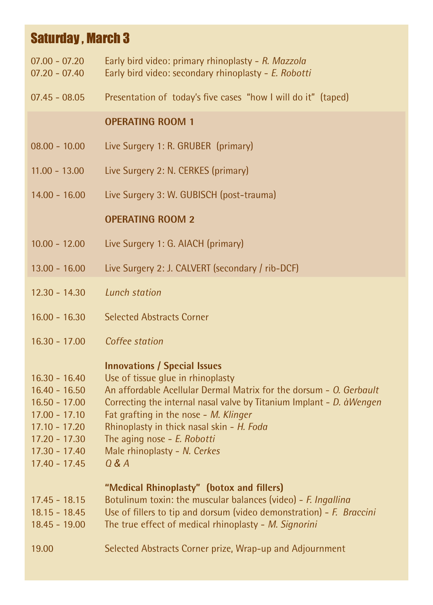## Saturday , March 3

- 07.00 07.20 Early bird video: primary rhinoplasty - *R. Mazzola*
- $07.20 07.40$ Early bird video: secondary rhinoplasty - *E. Robotti*
- 07.45 08.05 Presentation of today's five cases "how I will do it" (taped)

#### **OPERATING ROOM 1**

- 08.00 10.00 Live Surgery 1: R. GRUBER (primary)
- 11.00 13.00 Live Surgery 2: N. CERKES (primary)
- 14.00 16.00 Live Surgery 3: W. GUBISCH (post-trauma)

#### **OPERATING ROOM 2**

- 10.00 12.00 Live Surgery 1: G. AIACH (primary)
- 13.00 16.00 Live Surgery 2: J. CALVERT (secondary / rib-DCF)
- 12.30 14.30 *Lunch station*
- 16.00 16.30 Selected Abstracts Corner
- 16.30 17.00 *Coffee station*

#### **Innovations / Special Issues**

- 16.30 16.40 Use of tissue glue in rhinoplasty
- $16.40 16.50$ An affordable Acellular Dermal Matrix for the dorsum - *O. Gerbault*
- 16.50 17.00 Correcting the internal nasal valve by Titanium Implant - *D. àWengen*
- 17.00 17.10 Fat grafting in the nose - *M. Klinger*
- 17.10 17.20 Rhinoplasty in thick nasal skin - *H. Foda*
- 17.20 17.30 The aging nose - *E. Robotti*
- 17.30 17.40 Male rhinoplasty - *N. Cerkes*
- 17.40 17.45 *Q & A*

#### "Medical Rhinoplasty" (botox and fillers)

- 17.45 18.15 Botulinum toxin: the muscular balances (video) - *F. Ingallina*
- 18.15 18.45 Use of fillers to tip and dorsum (video demonstration) - *F. Braccini*
- 18.45 19.00 The true effect of medical rhinoplasty - *M. Signorini*
- 19.00 Selected Abstracts Corner prize, Wrap-up and Adjournment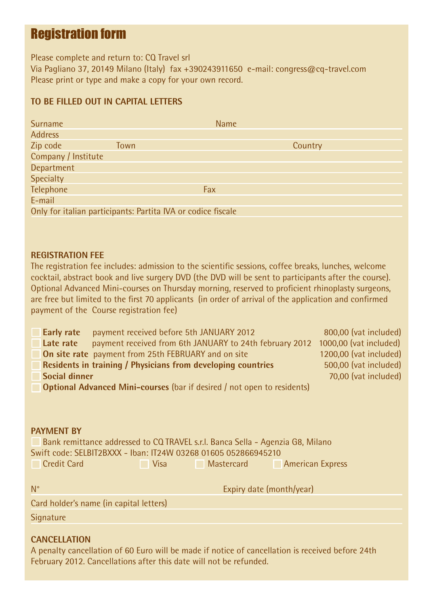## Registration form

Please complete and return to: CQ Travel srl Via Pagliano 37, 20149 Milano (Italy) fax +390243911650 e-mail: congress@cq-travel.com Please print or type and make a copy for your own record.

#### **TO BE FILLED OUT IN CAPITAL LETTERS**

| <b>Surname</b>      |                                                              | <b>Name</b> |
|---------------------|--------------------------------------------------------------|-------------|
| <b>Address</b>      |                                                              |             |
| Zip code            | Town                                                         | Country     |
| Company / Institute |                                                              |             |
| Department          |                                                              |             |
| <b>Specialty</b>    |                                                              |             |
| Telephone           | Fax                                                          |             |
| E-mail              |                                                              |             |
|                     | Only for italian participants: Partita IVA or codice fiscale |             |

#### **REGISTRATION FEE**

The registration fee includes: admission to the scientific sessions, coffee breaks, lunches, welcome cocktail, abstract book and live surgery DVD (the DVD will be sent to participants after the course). Optional Advanced Mini-courses on Thursday morning, reserved to proficient rhinoplasty surgeons, are free but limited to the first 70 applicants (in order of arrival of the application and confirmed payment of the Course registration fee)

| payment received before 5th JANUARY 2012<br>Early rate                         | 800,00 (vat included)  |
|--------------------------------------------------------------------------------|------------------------|
| payment received from 6th JANUARY to 24th february 2012<br>Late rate           | 1000,00 (vat included) |
| <b>On site rate</b> payment from 25th FEBRUARY and on site                     | 1200,00 (vat included) |
| Residents in training / Physicians from developing countries                   | 500,00 (vat included)  |
| Social dinner                                                                  | 70,00 (vat included)   |
| <b>Optional Advanced Mini-courses</b> (bar if desired / not open to residents) |                        |

#### **PAYMENT BY**

 Bank remittance addressed to CQ TRAVEL s.r.l. Banca Sella - Agenzia G8, Milano Swift code: SELBIT2BXXX - Iban: IT24W 03268 01605 052866945210 **Credit Card Card Credit Card Credit Card Credit Card Credit Card Credit Card Credit Card Credit Card Credit C** 

| $N^{\circ}$                             | Expiry date (month/year) |
|-----------------------------------------|--------------------------|
| Card holder's name (in capital letters) |                          |
| Signature                               |                          |

#### **CANCELLATION**

A penalty cancellation of 60 Euro will be made if notice of cancellation is received before 24th February 2012. Cancellations after this date will not be refunded.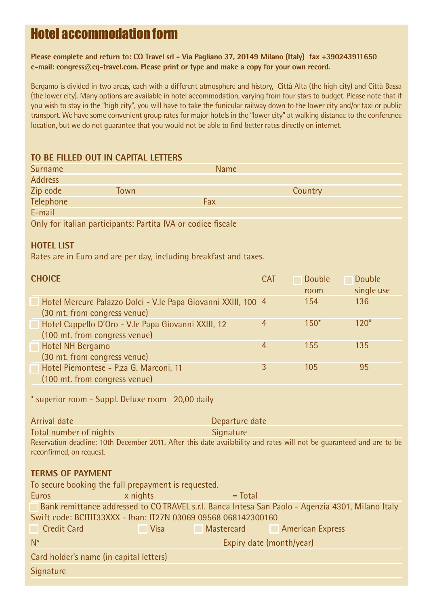## Hotel accommodation form

**Please complete and return to: CQ Travel srl - Via Pagliano 37, 20149 Milano (Italy) fax +390243911650 e-mail: congress@cq-travel.com. Please print or type and make a copy for your own record.**

Bergamo is divided in two areas, each with a different atmosphere and history, Città Alta (the high city) and Città Bassa (the lower city). Many options are available in hotel accommodation, varying from four stars to budget. Please note that if you wish to stay in the "high city", you will have to take the funicular railway down to the lower city and/or taxi or public transport. We have some convenient group rates for major hotels in the "lower city" at walking distance to the conference location, but we do not guarantee that you would not be able to find better rates directly on internet.

#### **TO BE FILLED OUT IN CAPITAL LETTERS**

| Surname        |                                                              | <b>Name</b> |         |  |
|----------------|--------------------------------------------------------------|-------------|---------|--|
| <b>Address</b> |                                                              |             |         |  |
| Zip code       | Town                                                         |             | Country |  |
| Telephone      |                                                              | Fax         |         |  |
| E-mail         |                                                              |             |         |  |
|                | Only for italian participants: Partita IVA or codice fiscale |             |         |  |

#### **HOTEL LIST**

Rates are in Euro and are per day, including breakfast and taxes.

| <b>CHOICE</b><br><b>CAT</b>                                   |   | <b>Double</b> | Double     |
|---------------------------------------------------------------|---|---------------|------------|
|                                                               |   | room          | single use |
| Hotel Mercure Palazzo Dolci - V.le Papa Giovanni XXIII, 100 4 |   | 154           | 136        |
| (30 mt. from congress venue)                                  |   |               |            |
| Hotel Cappello D'Oro - V.le Papa Giovanni XXIII, 12           | 4 | $150*$        | $120*$     |
| (100 mt. from congress venue)                                 |   |               |            |
| Hotel NH Bergamo                                              | 4 | 155           | 135        |
| (30 mt. from congress venue)                                  |   |               |            |
| Hotel Piemontese - P.za G. Marconi, 11                        | 3 | 105           | 95         |
| (100 mt. from congress venue)                                 |   |               |            |

\* superior room - Suppl. Deluxe room 20,00 daily

| Arrival date             | Departure date                                                                                                        |  |
|--------------------------|-----------------------------------------------------------------------------------------------------------------------|--|
| Total number of nights   | Signature                                                                                                             |  |
| reconfirmed, on request. | Reservation deadline: 10th December 2011. After this date availability and rates will not be quaranteed and are to be |  |

#### **TERMS OF PAYMENT**

| To secure booking the full prepayment is requested.                                               |                          |          |            |                         |
|---------------------------------------------------------------------------------------------------|--------------------------|----------|------------|-------------------------|
| Euros                                                                                             |                          | x nights | $=$ Total  |                         |
| Bank remittance addressed to CQ TRAVEL s.r.l. Banca Intesa San Paolo - Agenzia 4301, Milano Italy |                          |          |            |                         |
| Swift code: BCITIT33XXX - Iban: IT27N 03069 09568 068142300160                                    |                          |          |            |                         |
| <b>Credit Card</b>                                                                                |                          | Visa     | Mastercard | <b>American Express</b> |
| $N^{\circ}$                                                                                       | Expiry date (month/year) |          |            |                         |
| Card holder's name (in capital letters)                                                           |                          |          |            |                         |
| Signature                                                                                         |                          |          |            |                         |